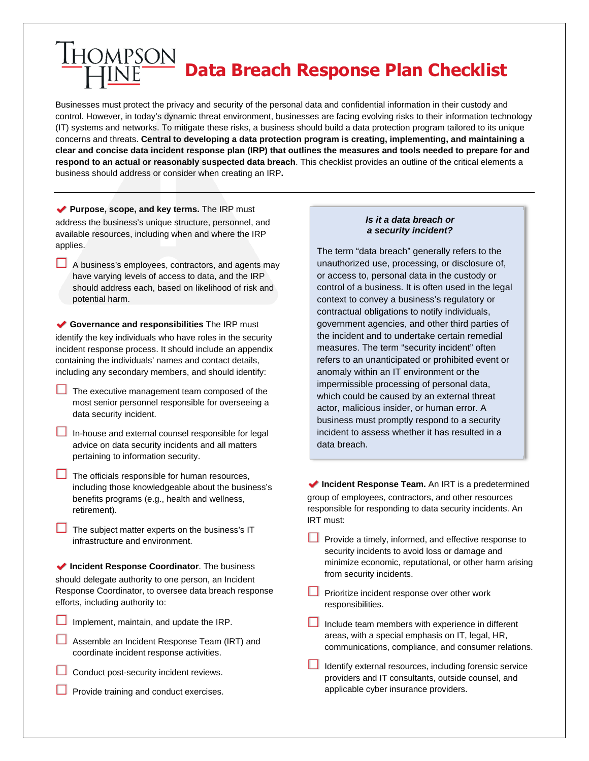## Thompson<br>HINE **Data Breach Response Plan Checklist**

Businesses must protect the privacy and security of the personal data and confidential information in their custody and control. However, in today's dynamic threat environment, businesses are facing evolving risks to their information technology (IT) systems and networks. To mitigate these risks, a business should build a data protection program tailored to its unique concerns and threats. **Central to developing a data protection program is creating, implementing, and maintaining a clear and concise data incident response plan (IRP) that outlines the measures and tools needed to prepare for and respond to an actual or reasonably suspected data breach**. This checklist provides an outline of the critical elements a business should address or consider when creating an IRP**.** 

✔ **Purpose, scope, and key terms.** The IRP must address the business's unique structure, personnel, and available resources, including when and where the IRP applies.

 A business's employees, contractors, and agents may have varying levels of access to data, and the IRP should address each, based on likelihood of risk and potential harm.

✔ **Governance and responsibilities** The IRP must identify the key individuals who have roles in the security incident response process. It should include an appendix containing the individuals' names and contact details, including any secondary members, and should identify:

- The executive management team composed of the most senior personnel responsible for overseeing a data security incident.
- $\Box$  In-house and external counsel responsible for legal advice on data security incidents and all matters pertaining to information security.
- $\Box$  The officials responsible for human resources, including those knowledgeable about the business's benefits programs (e.g., health and wellness, retirement).
- $\Box$  The subject matter experts on the business's IT infrastructure and environment.

✔ **Incident Response Coordinator**. The business should delegate authority to one person, an Incident Response Coordinator, to oversee data breach response efforts, including authority to:

- $\Box$  Implement, maintain, and update the IRP.
- **Assemble an Incident Response Team (IRT) and** coordinate incident response activities.
- **L** Conduct post-security incident reviews.
- **Provide training and conduct exercises.**

## *Is it a data breach or a security incident?*

The term "data breach" generally refers to the unauthorized use, processing, or disclosure of, or access to, personal data in the custody or control of a business. It is often used in the legal context to convey a business's regulatory or contractual obligations to notify individuals, government agencies, and other third parties of the incident and to undertake certain remedial measures. The term "security incident" often refers to an unanticipated or prohibited event or anomaly within an IT environment or the impermissible processing of personal data, which could be caused by an external threat actor, malicious insider, or human error. A business must promptly respond to a security incident to assess whether it has resulted in a data breach.

◆ Incident Response Team. An IRT is a predetermined group of employees, contractors, and other resources responsible for responding to data security incidents. An IRT must:

- **Provide a timely, informed, and effective response to** security incidents to avoid loss or damage and minimize economic, reputational, or other harm arising from security incidents.
- Prioritize incident response over other work responsibilities.
- $\Box$  Include team members with experience in different areas, with a special emphasis on IT, legal, HR, communications, compliance, and consumer relations.
- Identify external resources, including forensic service providers and IT consultants, outside counsel, and applicable cyber insurance providers.